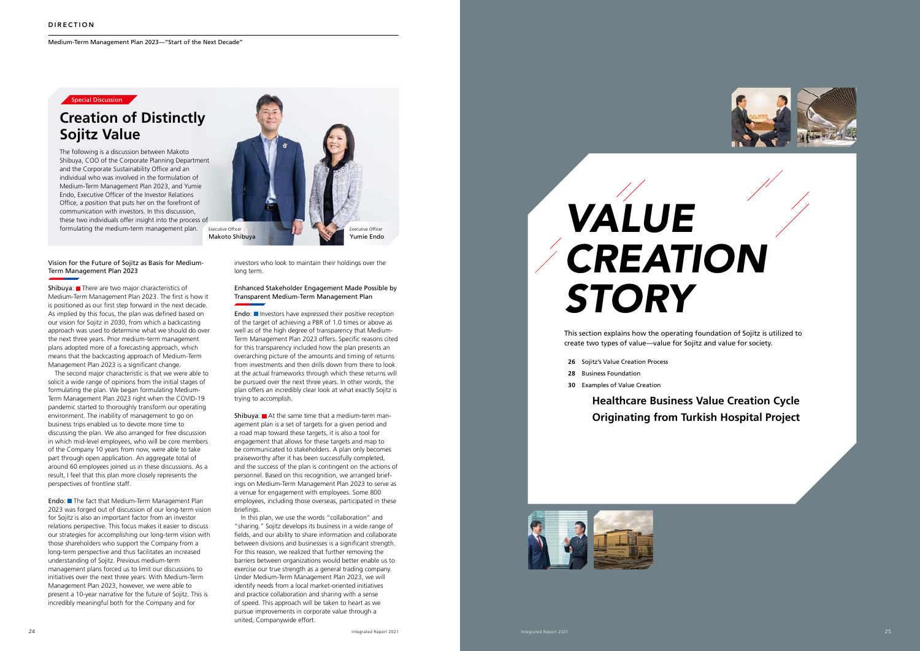Medium-Term Management Plan 2023—"Start of the Next Decade"

### Special Discussion

# *VALUE CREATION STORY*

This section explains how the operating foundation of Sojitz is utilized to create two types of value—value for Sojitz and value for society.

- **26** Sojitz's Value Creation Process
- **28** Business Foundation
- **30** Examples of Value Creation

### **Healthcare Business Value Creation Cycle Originating from Turkish Hospital Project**







### Vision for the Future of Sojitz as Basis for Medium-Term Management Plan 2023

Shibuya: There are two major characteristics of Medium-Term Management Plan 2023. The first is how it is positioned as our first step forward in the next decade. As implied by this focus, the plan was defined based on our vision for Sojitz in 2030, from which a backcasting approach was used to determine what we should do over the next three years. Prior medium-term management plans adopted more of a forecasting approach, which means that the backcasting approach of Medium-Term Management Plan 2023 is a significant change.

Endo: The fact that Medium-Term Management Plan 2023 was forged out of discussion of our long-term vision for Sojitz is also an important factor from an investor relations perspective. This focus makes it easier to discuss our strategies for accomplishing our long-term vision with those shareholders who support the Company from a long-term perspective and thus facilitates an increased understanding of Sojitz. Previous medium-term management plans forced us to limit our discussions to initiatives over the next three years. With Medium-Term Management Plan 2023, however, we were able to present a 10-year narrative for the future of Sojitz. This is incredibly meaningful both for the Company and for

The second major characteristic is that we were able to solicit a wide range of opinions from the initial stages of formulating the plan. We began formulating Medium-Term Management Plan 2023 right when the COVID-19 pandemic started to thoroughly transform our operating environment. The inability of management to go on business trips enabled us to devote more time to discussing the plan. We also arranged for free discussion in which mid-level employees, who will be core members of the Company 10 years from now, were able to take part through open application. An aggregate total of around 60 employees joined us in these discussions. As a result, I feel that this plan more closely represents the perspectives of frontline staff.

Endo: Investors have expressed their positive reception of the target of achieving a PBR of 1.0 times or above as well as of the high degree of transparency that Medium-Term Management Plan 2023 offers. Specific reasons cited for this transparency included how the plan presents an overarching picture of the amounts and timing of returns from investments and then drills down from there to look at the actual frameworks through which these returns will be pursued over the next three years. In other words, the plan offers an incredibly clear look at what exactly Sojitz is trying to accomplish.

**Shibuya:**  $\blacksquare$  At the same time that a medium-term management plan is a set of targets for a given period and a road map toward these targets, it is also a tool for engagement that allows for these targets and map to be communicated to stakeholders. A plan only becomes praiseworthy after it has been successfully completed, and the success of the plan is contingent on the actions of personnel. Based on this recognition, we arranged briefings on Medium-Term Management Plan 2023 to serve as a venue for engagement with employees. Some 800 employees, including those overseas, participated in these briefings.

investors who look to maintain their holdings over the long term.

### Enhanced Stakeholder Engagement Made Possible by Transparent Medium-Term Management Plan

In this plan, we use the words "collaboration" and "sharing." Sojitz develops its business in a wide range of fields, and our ability to share information and collaborate between divisions and businesses is a significant strength. For this reason, we realized that further removing the barriers between organizations would better enable us to exercise our true strength as a general trading company. Under Medium-Term Management Plan 2023, we will identify needs from a local market-oriented initiatives and practice collaboration and sharing with a sense of speed. This approach will be taken to heart as we pursue improvements in corporate value through a united, Companywide effort.

## **Creation of Distinctly Sojitz Value**

The following is a discussion between Makoto Shibuya, COO of the Corporate Planning Department and the Corporate Sustainability Office and an individual who was involved in the formulation of Medium-Term Management Plan 2023, and Yumie Endo, Executive Officer of the Investor Relations Office, a position that puts her on the forefront of communication with investors. In this discussion, these two individuals offer insight into the process of formulating the medium-term management plan.

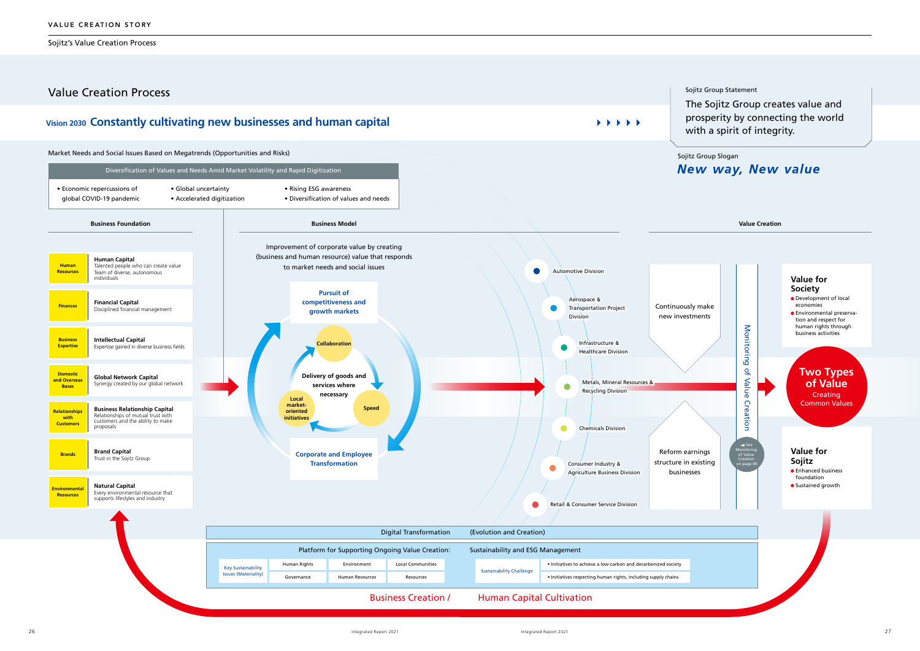Sojitz's Value Creation Process

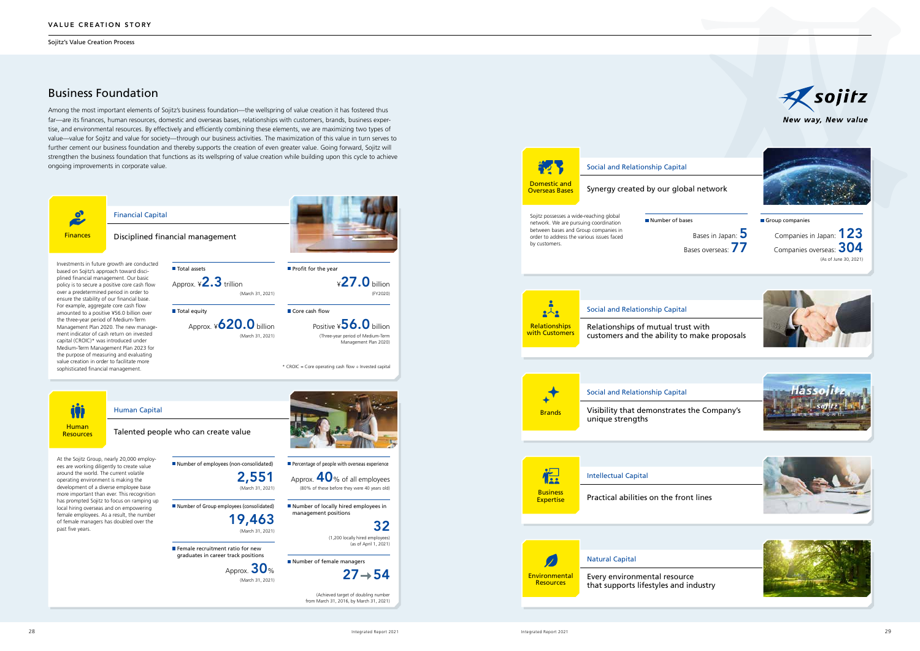Sojitz's Value Creation Process

### Business Foundation

Among the most important elements of Sojitz's business foundation—the wellspring of value creation it has fostered thus far—are its finances, human resources, domestic and overseas bases, relationships with customers, brands, business expertise, and environmental resources. By effectively and efficiently combining these elements, we are maximizing two types of value—value for Sojitz and value for society—through our business activities. The maximization of this value in turn serves to further cement our business foundation and thereby supports the creation of even greater value. Going forward, Sojitz will strengthen the business foundation that functions as its wellspring of value creation while building upon this cycle to achieve ongoing improvements in corporate value.







New way, New value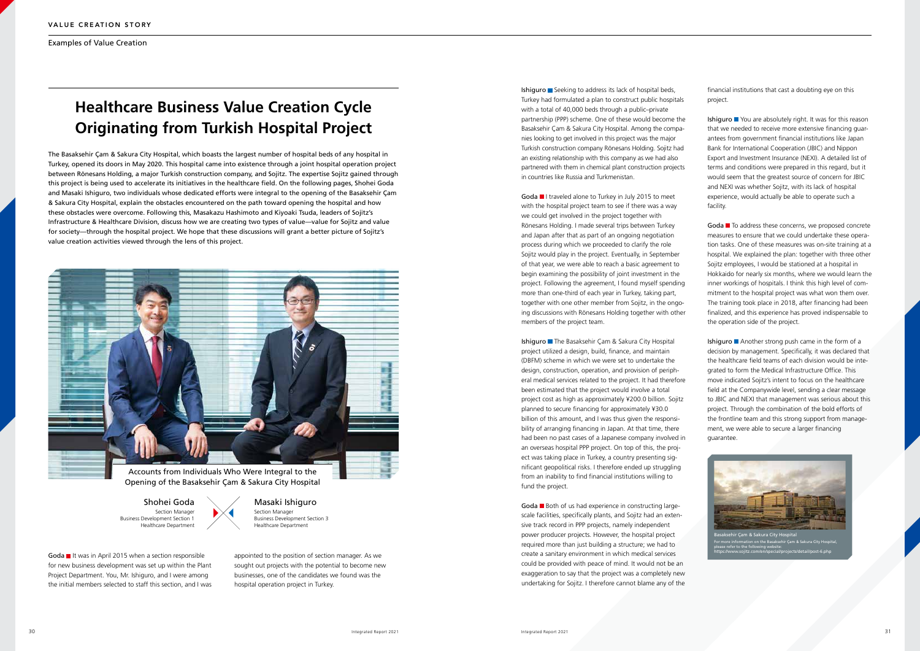The Basaksehir Çam & Sakura City Hospital, which boasts the largest number of hospital beds of any hospital in Turkey, opened its doors in May 2020. This hospital came into existence through a joint hospital operation project between Rönesans Holding, a major Turkish construction company, and Sojitz. The expertise Sojitz gained through this project is being used to accelerate its initiatives in the healthcare field. On the following pages, Shohei Goda and Masaki Ishiguro, two individuals whose dedicated efforts were integral to the opening of the Basaksehir Çam & Sakura City Hospital, explain the obstacles encountered on the path toward opening the hospital and how these obstacles were overcome. Following this, Masakazu Hashimoto and Kiyoaki Tsuda, leaders of Sojitz's Infrastructure & Healthcare Division, discuss how we are creating two types of value—value for Sojitz and value for society—through the hospital project. We hope that these discussions will grant a better picture of Sojitz's value creation activities viewed through the lens of this project.

Goda II It was in April 2015 when a section responsible for new business development was set up within the Plant Project Department. You, Mr. Ishiguro, and I were among the initial members selected to staff this section, and I was

Ishiguro  $\blacksquare$  Seeking to address its lack of hospital beds, Turkey had formulated a plan to construct public hospitals with a total of 40,000 beds through a public–private partnership (PPP) scheme. One of these would become the Basaksehir Çam & Sakura City Hospital. Among the companies looking to get involved in this project was the major Turkish construction company Rönesans Holding. Sojitz had an existing relationship with this company as we had also partnered with them in chemical plant construction projects in countries like Russia and Turkmenistan.

Goda I traveled alone to Turkey in July 2015 to meet with the hospital project team to see if there was a way we could get involved in the project together with Rönesans Holding. I made several trips between Turkey and Japan after that as part of an ongoing negotiation process during which we proceeded to clarify the role Sojitz would play in the project. Eventually, in September of that year, we were able to reach a basic agreement to begin examining the possibility of joint investment in the project. Following the agreement, I found myself spending more than one-third of each year in Turkey, taking part, together with one other member from Sojitz, in the ongoing discussions with Rönesans Holding together with other members of the project team.

appointed to the position of section manager. As we sought out projects with the potential to become new businesses, one of the candidates we found was the hospital operation project in Turkey.

Ishiguro The Basaksehir Çam & Sakura City Hospital project utilized a design, build, finance, and maintain (DBFM) scheme in which we were set to undertake the design, construction, operation, and provision of peripheral medical services related to the project. It had therefore been estimated that the project would involve a total project cost as high as approximately ¥200.0 billion. Sojitz planned to secure financing for approximately ¥30.0 billion of this amount, and I was thus given the responsibility of arranging financing in Japan. At that time, there had been no past cases of a Japanese company involved in an overseas hospital PPP project. On top of this, the project was taking place in Turkey, a country presenting significant geopolitical risks. I therefore ended up struggling from an inability to find financial institutions willing to fund the project.

Goda Both of us had experience in constructing largescale facilities, specifically plants, and Sojitz had an extensive track record in PPP projects, namely independent power producer projects. However, the hospital project required more than just building a structure; we had to create a sanitary environment in which medical services could be provided with peace of mind. It would not be an exaggeration to say that the project was a completely new undertaking for Sojitz. I therefore cannot blame any of the Ishiguro You are absolutely right. It was for this reason that we needed to receive more extensive financing guarantees from government financial institutions like Japan Bank for International Cooperation (JBIC) and Nippon Export and Investment Insurance (NEXI). A detailed list of terms and conditions were prepared in this regard, but it would seem that the greatest source of concern for JBIC and NEXI was whether Sojitz, with its lack of hospital experience, would actually be able to operate such a facility.

Goda To address these concerns, we proposed concrete measures to ensure that we could undertake these operation tasks. One of these measures was on-site training at a hospital. We explained the plan: together with three other Sojitz employees, I would be stationed at a hospital in Hokkaido for nearly six months, where we would learn the inner workings of hospitals. I think this high level of commitment to the hospital project was what won them over. The training took place in 2018, after financing had been finalized, and this experience has proved indispensable to the operation side of the project.

Ishiguro **Another strong push came in the form of a** decision by management. Specifically, it was declared that the healthcare field teams of each division would be integrated to form the Medical Infrastructure Office. This move indicated Sojitz's intent to focus on the healthcare field at the Companywide level, sending a clear message to JBIC and NEXI that management was serious about this project. Through the combination of the bold efforts of the frontline team and this strong support from management, we were able to secure a larger financing guarantee.



asaksehir Çam & Sakura City Hospita For more information on the Basaksehir Çam & Sakura City Hospital, please refer to the following website: https://www.sojitz.com/en/special/projects/detail/post-6.php

financial institutions that cast a doubting eye on this project.

## **Healthcare Business Value Creation Cycle Originating from Turkish Hospital Project**

Masaki Ishiguro Section Manager Business Development Section 3 Healthcare Department

Shohei Goda Section Manager Business Development Section 1 Healthcare Department





Opening of the Basaksehir Çam & Sakura City Hospital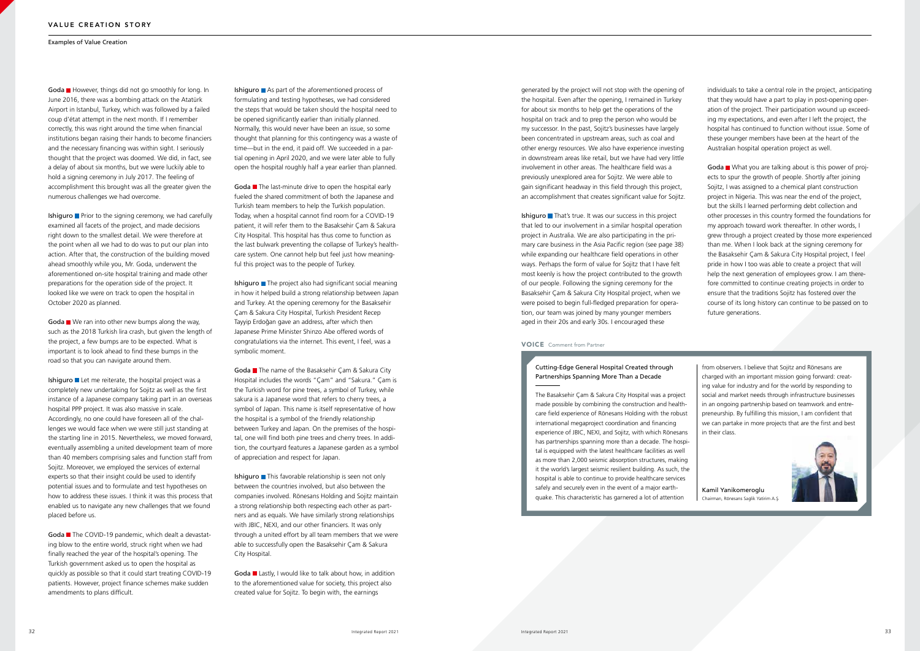### VOICE Comment from Partner

### Cutting-Edge General Hospital Created through Partnerships Spanning More Than a Decade

The Basaksehir Çam & Sakura City Hospital was a project made possible by combining the construction and healthcare field experience of Rönesans Holding with the robust international megaproject coordination and financing experience of JBIC, NEXI, and Sojitz, with which Rönesans has partnerships spanning more than a decade. The hospital is equipped with the latest healthcare facilities as well as more than 2,000 seismic absorption structures, making it the world's largest seismic resilient building. As such, the hospital is able to continue to provide healthcare services safely and securely even in the event of a major earthquake. This characteristic has garnered a lot of attention

Goda However, things did not go smoothly for long. In June 2016, there was a bombing attack on the Atatürk Airport in Istanbul, Turkey, which was followed by a failed coup d'état attempt in the next month. If I remember correctly, this was right around the time when financial institutions began raising their hands to become financiers and the necessary financing was within sight. I seriously thought that the project was doomed. We did, in fact, see a delay of about six months, but we were luckily able to hold a signing ceremony in July 2017. The feeling of accomplishment this brought was all the greater given the numerous challenges we had overcome.

> from observers. I believe that Sojitz and Rönesans are charged with an important mission going forward: creating value for industry and for the world by responding to social and market needs through infrastructure businesses in an ongoing partnership based on teamwork and entrepreneurship. By fulfilling this mission, I am confident that we can partake in more projects that are the first and best in their class.



Ishiguro **P**rior to the signing ceremony, we had carefully examined all facets of the project, and made decisions right down to the smallest detail. We were therefore at the point when all we had to do was to put our plan into action. After that, the construction of the building moved ahead smoothly while you, Mr. Goda, underwent the aforementioned on-site hospital training and made other preparations for the operation side of the project. It looked like we were on track to open the hospital in October 2020 as planned.

> Kamil Yanikomeroglu Chairman, Rönesans Saglik Yatirim A.S¸.

Goda  $\blacksquare$  We ran into other new bumps along the way, such as the 2018 Turkish lira crash, but given the length of the project, a few bumps are to be expected. What is important is to look ahead to find these bumps in the road so that you can navigate around them.

Ishiguro  $\blacksquare$  Let me reiterate, the hospital project was a completely new undertaking for Sojitz as well as the first instance of a Japanese company taking part in an overseas hospital PPP project. It was also massive in scale. Accordingly, no one could have foreseen all of the challenges we would face when we were still just standing at the starting line in 2015. Nevertheless, we moved forward, eventually assembling a united development team of more than 40 members comprising sales and function staff from Sojitz. Moreover, we employed the services of external experts so that their insight could be used to identify potential issues and to formulate and test hypotheses on how to address these issues. I think it was this process that enabled us to navigate any new challenges that we found placed before us.

Goda The COVID-19 pandemic, which dealt a devastating blow to the entire world, struck right when we had finally reached the year of the hospital's opening. The Turkish government asked us to open the hospital as quickly as possible so that it could start treating COVID-19 patients. However, project finance schemes make sudden amendments to plans difficult.

Ishiguro  $\blacksquare$  As part of the aforementioned process of formulating and testing hypotheses, we had considered the steps that would be taken should the hospital need to be opened significantly earlier than initially planned. Normally, this would never have been an issue, so some thought that planning for this contingency was a waste of time—but in the end, it paid off. We succeeded in a partial opening in April 2020, and we were later able to fully open the hospital roughly half a year earlier than planned.

Goda<sup>n</sup> The last-minute drive to open the hospital early fueled the shared commitment of both the Japanese and Turkish team members to help the Turkish population. Today, when a hospital cannot find room for a COVID-19 patient, it will refer them to the Basaksehir Çam & Sakura City Hospital. This hospital has thus come to function as the last bulwark preventing the collapse of Turkey's healthcare system. One cannot help but feel just how meaningful this project was to the people of Turkey.

Ishiguro  $\blacksquare$  The project also had significant social meaning in how it helped build a strong relationship between Japan and Turkey. At the opening ceremony for the Basaksehir Çam & Sakura City Hospital, Turkish President Recep Tayyip Erdoğan gave an address, after which then Japanese Prime Minister Shinzo Abe offered words of congratulations via the internet. This event, I feel, was a symbolic moment.

Goda The name of the Basaksehir Cam & Sakura City Hospital includes the words "Çam" and "Sakura." Çam is the Turkish word for pine trees, a symbol of Turkey, while sakura is a Japanese word that refers to cherry trees, a symbol of Japan. This name is itself representative of how the hospital is a symbol of the friendly relationship between Turkey and Japan. On the premises of the hospital, one will find both pine trees and cherry trees. In addition, the courtyard features a Japanese garden as a symbol of appreciation and respect for Japan.

Ishiguro This favorable relationship is seen not only between the countries involved, but also between the companies involved. Rönesans Holding and Sojitz maintain a strong relationship both respecting each other as partners and as equals. We have similarly strong relationships with JBIC, NEXI, and our other financiers. It was only through a united effort by all team members that we were able to successfully open the Basaksehir Çam & Sakura City Hospital.

Goda Lastly, I would like to talk about how, in addition to the aforementioned value for society, this project also created value for Sojitz. To begin with, the earnings

Ishiguro That's true. It was our success in this project that led to our involvement in a similar hospital operation project in Australia. We are also participating in the primary care business in the Asia Pacific region (see page 38) while expanding our healthcare field operations in other ways. Perhaps the form of value for Sojitz that I have felt most keenly is how the project contributed to the growth of our people. Following the signing ceremony for the Basaksehir Çam & Sakura City Hospital project, when we were poised to begin full-fledged preparation for operation, our team was joined by many younger members aged in their 20s and early 30s. I encouraged these

generated by the project will not stop with the opening of the hospital. Even after the opening, I remained in Turkey for about six months to help get the operations of the hospital on track and to prep the person who would be my successor. In the past, Sojitz's businesses have largely been concentrated in upstream areas, such as coal and other energy resources. We also have experience investing in downstream areas like retail, but we have had very little involvement in other areas. The healthcare field was a previously unexplored area for Sojitz. We were able to gain significant headway in this field through this project, an accomplishment that creates significant value for Sojitz.

individuals to take a central role in the project, anticipating that they would have a part to play in post-opening operation of the project. Their participation wound up exceeding my expectations, and even after I left the project, the hospital has continued to function without issue. Some of these younger members have been at the heart of the Australian hospital operation project as well.

Goda What you are talking about is this power of projects to spur the growth of people. Shortly after joining Sojitz, I was assigned to a chemical plant construction project in Nigeria. This was near the end of the project, but the skills I learned performing debt collection and other processes in this country formed the foundations for my approach toward work thereafter. In other words, I grew through a project created by those more experienced than me. When I look back at the signing ceremony for the Basaksehir Çam & Sakura City Hospital project, I feel pride in how I too was able to create a project that will help the next generation of employees grow. I am therefore committed to continue creating projects in order to ensure that the traditions Sojitz has fostered over the course of its long history can continue to be passed on to future generations.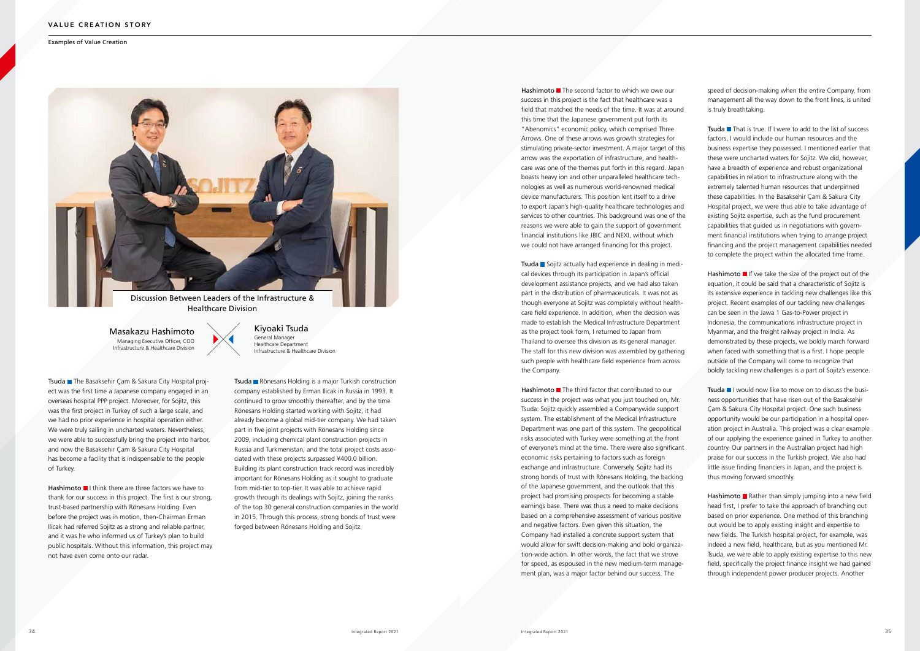Tsuda The Basaksehir Çam & Sakura City Hospital project was the first time a Japanese company engaged in an overseas hospital PPP project. Moreover, for Sojitz, this was the first project in Turkey of such a large scale, and we had no prior experience in hospital operation either. We were truly sailing in uncharted waters. Nevertheless, we were able to successfully bring the project into harbor, and now the Basaksehir Çam & Sakura City Hospital has become a facility that is indispensable to the people of Turkey.

Hashimoto  $\blacksquare$  I think there are three factors we have to thank for our success in this project. The first is our strong, trust-based partnership with Rönesans Holding. Even before the project was in motion, then-Chairman Erman Ilicak had referred Sojitz as a strong and reliable partner, and it was he who informed us of Turkey's plan to build public hospitals. Without this information, this project may not have even come onto our radar.

Tsuda Rönesans Holding is a major Turkish construction company established by Erman Ilicak in Russia in 1993. It continued to grow smoothly thereafter, and by the time Rönesans Holding started working with Sojitz, it had already become a global mid-tier company. We had taken part in five joint projects with Rönesans Holding since 2009, including chemical plant construction projects in Russia and Turkmenistan, and the total project costs associated with these projects surpassed ¥400.0 billion. Building its plant construction track record was incredibly important for Rönesans Holding as it sought to graduate from mid-tier to top-tier. It was able to achieve rapid growth through its dealings with Sojitz, joining the ranks of the top 30 general construction companies in the world in 2015. Through this process, strong bonds of trust were forged between Rönesans Holding and Sojitz.

Hashimoto  $\blacksquare$  The second factor to which we owe our success in this project is the fact that healthcare was a field that matched the needs of the time. It was at around this time that the Japanese government put forth its "Abenomics" economic policy, which comprised Three Arrows. One of these arrows was growth strategies for stimulating private-sector investment. A major target of this arrow was the exportation of infrastructure, and healthcare was one of the themes put forth in this regard. Japan boasts heavy ion and other unparalleled healthcare technologies as well as numerous world-renowned medical device manufacturers. This position lent itself to a drive to export Japan's high-quality healthcare technologies and services to other countries. This background was one of the reasons we were able to gain the support of government financial institutions like JBIC and NEXI, without which we could not have arranged financing for this project.

Tsuda Sojitz actually had experience in dealing in medical devices through its participation in Japan's official development assistance projects, and we had also taken part in the distribution of pharmaceuticals. It was not as though everyone at Sojitz was completely without healthcare field experience. In addition, when the decision was made to establish the Medical Infrastructure Department as the project took form, I returned to Japan from Thailand to oversee this division as its general manager. The staff for this new division was assembled by gathering such people with healthcare field experience from across the Company.

Hashimoto  $\blacksquare$  The third factor that contributed to our success in the project was what you just touched on, Mr. Tsuda: Sojitz quickly assembled a Companywide support system. The establishment of the Medical Infrastructure Department was one part of this system. The geopolitical risks associated with Turkey were something at the front of everyone's mind at the time. There were also significant economic risks pertaining to factors such as foreign exchange and infrastructure. Conversely, Sojitz had its strong bonds of trust with Rönesans Holding, the backing of the Japanese government, and the outlook that this project had promising prospects for becoming a stable earnings base. There was thus a need to make decisions based on a comprehensive assessment of various positive and negative factors. Even given this situation, the Company had installed a concrete support system that would allow for swift decision-making and bold organization-wide action. In other words, the fact that we strove for speed, as espoused in the new medium-term management plan, was a major factor behind our success. The

Tsuda  $\blacksquare$  That is true. If I were to add to the list of success factors, I would include our human resources and the business expertise they possessed. I mentioned earlier that these were uncharted waters for Sojitz. We did, however, have a breadth of experience and robust organizational capabilities in relation to infrastructure along with the extremely talented human resources that underpinned these capabilities. In the Basaksehir Çam & Sakura City Hospital project, we were thus able to take advantage of existing Sojitz expertise, such as the fund procurement capabilities that guided us in negotiations with government financial institutions when trying to arrange project financing and the project management capabilities needed to complete the project within the allocated time frame.

Hashimoto  $\blacksquare$  If we take the size of the project out of the equation, it could be said that a characteristic of Sojitz is its extensive experience in tackling new challenges like this project. Recent examples of our tackling new challenges can be seen in the Jawa 1 Gas-to-Power project in Indonesia, the communications infrastructure project in Myanmar, and the freight railway project in India. As demonstrated by these projects, we boldly march forward when faced with something that is a first. I hope people outside of the Company will come to recognize that boldly tackling new challenges is a part of Sojitz's essence.

Tsuda II would now like to move on to discuss the business opportunities that have risen out of the Basaksehir Çam & Sakura City Hospital project. One such business opportunity would be our participation in a hospital operation project in Australia. This project was a clear example of our applying the experience gained in Turkey to another country. Our partners in the Australian project had high praise for our success in the Turkish project. We also had little issue finding financiers in Japan, and the project is thus moving forward smoothly.

Hashimoto **R**ather than simply jumping into a new field head first, I prefer to take the approach of branching out based on prior experience. One method of this branching out would be to apply existing insight and expertise to new fields. The Turkish hospital project, for example, was indeed a new field, healthcare, but as you mentioned Mr. Tsuda, we were able to apply existing expertise to this new field, specifically the project finance insight we had gained through independent power producer projects. Another

speed of decision-making when the entire Company, from management all the way down to the front lines, is united is truly breathtaking.

Examples of Value Creation



Kiyoaki Tsuda General Manager Healthcare Department Infrastructure & Healthcare Division

Masakazu Hashimoto Managing Executive Officer, COO Infrastructure & Healthcare Division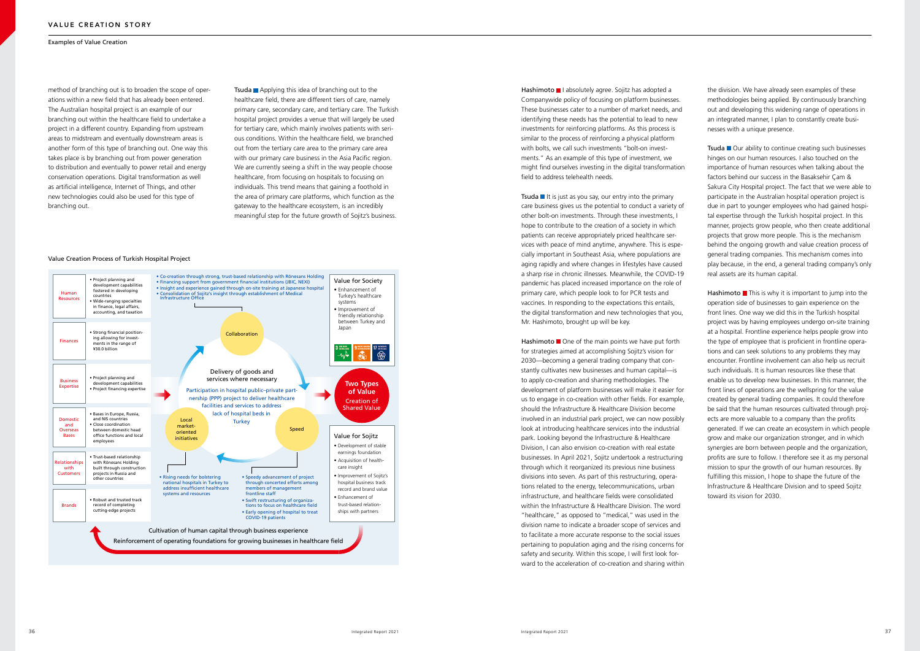method of branching out is to broaden the scope of operations within a new field that has already been entered. The Australian hospital project is an example of our branching out within the healthcare field to undertake a project in a different country. Expanding from upstream areas to midstream and eventually downstream areas is another form of this type of branching out. One way this takes place is by branching out from power generation to distribution and eventually to power retail and energy conservation operations. Digital transformation as well as artificial intelligence, Internet of Things, and other new technologies could also be used for this type of branching out.

**Tsuda Applying this idea of branching out to the** healthcare field, there are different tiers of care, namely primary care, secondary care, and tertiary care. The Turkish hospital project provides a venue that will largely be used for tertiary care, which mainly involves patients with serious conditions. Within the healthcare field, we branched out from the tertiary care area to the primary care area with our primary care business in the Asia Pacific region. We are currently seeing a shift in the way people choose healthcare, from focusing on hospitals to focusing on individuals. This trend means that gaining a foothold in the area of primary care platforms, which function as the gateway to the healthcare ecosystem, is an incredibly meaningful step for the future growth of Sojitz's business.

Hashimoto I absolutely agree. Sojitz has adopted a Companywide policy of focusing on platform businesses. These businesses cater to a number of market needs, and identifying these needs has the potential to lead to new investments for reinforcing platforms. As this process is similar to the process of reinforcing a physical platform with bolts, we call such investments "bolt-on investments." As an example of this type of investment, we might find ourselves investing in the digital transformation field to address telehealth needs.

Tsuda  $\blacksquare$  It is just as you say, our entry into the primary care business gives us the potential to conduct a variety of other bolt-on investments. Through these investments, I hope to contribute to the creation of a society in which patients can receive appropriately priced healthcare services with peace of mind anytime, anywhere. This is especially important in Southeast Asia, where populations are aging rapidly and where changes in lifestyles have caused a sharp rise in chronic illnesses. Meanwhile, the COVID-19 pandemic has placed increased importance on the role of primary care, which people look to for PCR tests and vaccines. In responding to the expectations this entails, the digital transformation and new technologies that you, Mr. Hashimoto, brought up will be key.

Hashimoto  $\blacksquare$  One of the main points we have put forth for strategies aimed at accomplishing Sojitz's vision for 2030—becoming a general trading company that constantly cultivates new businesses and human capital—is to apply co-creation and sharing methodologies. The development of platform businesses will make it easier for us to engage in co-creation with other fields. For example, should the Infrastructure & Healthcare Division become involved in an industrial park project, we can now possibly look at introducing healthcare services into the industrial park. Looking beyond the Infrastructure & Healthcare Division, I can also envision co-creation with real estate businesses. In April 2021, Sojitz undertook a restructuring through which it reorganized its previous nine business divisions into seven. As part of this restructuring, operations related to the energy, telecommunications, urban infrastructure, and healthcare fields were consolidated within the Infrastructure & Healthcare Division. The word "healthcare," as opposed to "medical," was used in the division name to indicate a broader scope of services and to facilitate a more accurate response to the social issues pertaining to population aging and the rising concerns for safety and security. Within this scope, I will first look forward to the acceleration of co-creation and sharing within

Tsuda Our ability to continue creating such businesses hinges on our human resources. I also touched on the importance of human resources when talking about the factors behind our success in the Basaksehir Çam & Sakura City Hospital project. The fact that we were able to participate in the Australian hospital operation project is due in part to younger employees who had gained hospital expertise through the Turkish hospital project. In this manner, projects grow people, who then create additional projects that grow more people. This is the mechanism behind the ongoing growth and value creation process of general trading companies. This mechanism comes into play because, in the end, a general trading company's only real assets are its human capital.

Hashimoto  $\blacksquare$  This is why it is important to jump into the operation side of businesses to gain experience on the front lines. One way we did this in the Turkish hospital project was by having employees undergo on-site training at a hospital. Frontline experience helps people grow into the type of employee that is proficient in frontline operations and can seek solutions to any problems they may encounter. Frontline involvement can also help us recruit such individuals. It is human resources like these that enable us to develop new businesses. In this manner, the front lines of operations are the wellspring for the value created by general trading companies. It could therefore be said that the human resources cultivated through projects are more valuable to a company than the profits generated. If we can create an ecosystem in which people grow and make our organization stronger, and in which synergies are born between people and the organization, profits are sure to follow. I therefore see it as my personal mission to spur the growth of our human resources. By fulfilling this mission, I hope to shape the future of the Infrastructure & Healthcare Division and to speed Sojitz toward its vision for 2030.

the division. We have already seen examples of these methodologies being applied. By continuously branching out and developing this widening range of operations in an integrated manner, I plan to constantly create businesses with a unique presence.

### Value Creation Process of Turkish Hospital Project